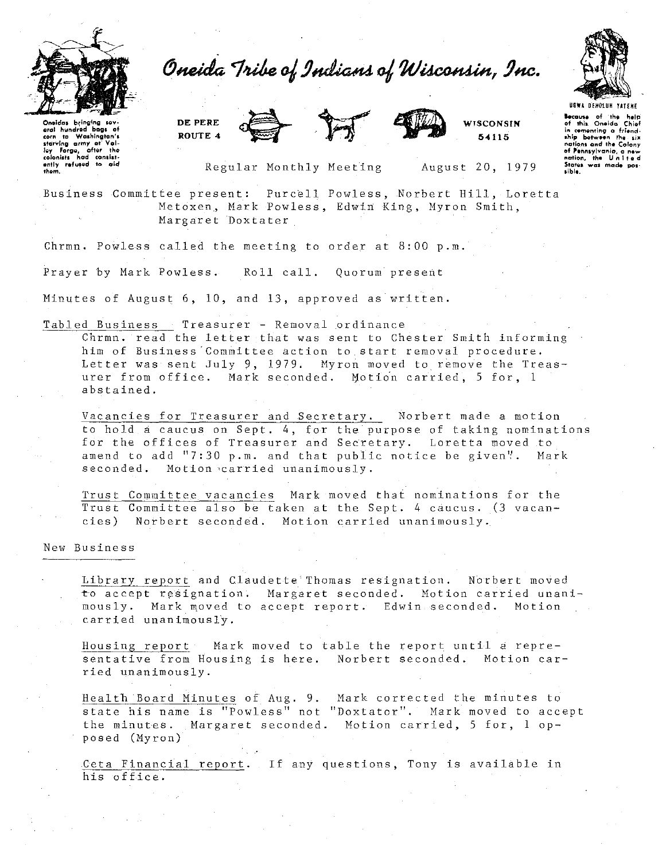

Oneida Tribe of Indians of Wisconsin, Inc.





**WISCONSIN** 54115



**Because of the help**<br>of this Oneida Chief

in cementing a friend-

nations and the Colony nations and the colories<br>of Pennsylvania, a new<br>nation, the Unlited<br>States was made pos-

sible.

Oneidas bringing sovaral hundred bags of corn to Washington's riarving army at "value"<br>ley Forge, after the<br>colonists had consist-<br>ently refused to aid<br>them.

Regular Monthly Meeting

August 20, 1979

Business Committee present: Purcell Powless, Norbert Hill, Loretta Metoxen, Mark Powless, Edwin King, Myron Smith, Margaret Doxtater

Chrmn. Powless called the meeting to order at 8:00 p.m.

Prayer by Mark Powless. Roll call. Quorum present

Minutes of August 6, 10, and 13, approved as written.

Tabled Business Treasurer - Removal ordinance

Chrmn. read the letter that was sent to Chester Smith informing him of Business Committee action to start removal procedure. Letter was sent July 9, 1979. Myron moved to remove the Treasurer from office. Mark seconded. Motion carried, 5 for, 1 abstained.

Vacancies for Treasurer and Secretary. Norbert made a motion to hold a caucus on Sept. 4, for the purpose of taking nominations<br>for the offices of Treasurer and Secretary. Loretta moved to amend to add "7:30 p.m. and that public notice be given". Mark seconded. Motion carried unanimously.

Trust Committee vacancies Mark moved that nominations for the Trust Committee also be taken at the Sept. 4 caucus. (3 vacan- $\text{cies}$ ) Norbert seconded. Motion carried unanimously.

New Business

Library report and Claudette Thomas resignation. Norbert moved to accept resignation. Margaret seconded. Motion carried unanimously. Mark moved to accept report. Edwin seconded. Motion carried unanimously.

Housing report: Mark moved to table the report until a representative from Housing is here. Norbert seconded. Motion carried unanimously.

Health Board Minutes of Aug. 9. Mark corrected the minutes to state his name is "Powless" not "Doxtator". Mark moved to accept the minutes. Margaret seconded. Motion carried, 5 for, 1 opposed (Myron)

Ceta Financial report. If any questions, Tony is available in his office.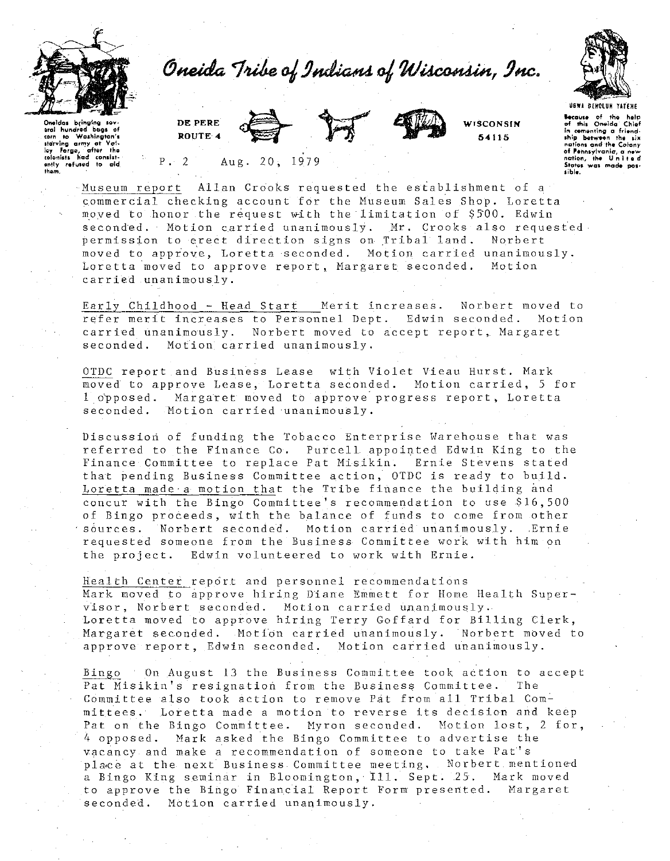

Oneida Tribe of Indians of Wisconsin, Inc.



Oneidas bringing sev-<br>eral hundred bags of aral hundrod corn to Washington's<br>starving army at Yolley Forge, after the<br>colonists had consistently refused to cid.<br>them. DE PERE ROUTE 4





WTSCONSIN 54115

**ecause** of the help<br>of this Oneida Chief In cementing a friend-<br>ship between the six nations and the Colony of Pennsylvania, a new<br>nation, the United<br>States was made pos-<br>sible.

 $P \cdot 2$ 2 Aug. 20, 1979

Museum report Allan Crooks requested the establishment of a commercial checking account for the Museum Sales Shop. Loretta moved to honor the request with the limitation of \$500. Edwin seconded. Motion carried unanimously. Mr. Crooks also requested permission to erect direction signs on Tribal land. Norbert moved to appiove, Loretta seconded. Motion carried unanimously. Loretta moved to approve report, Margaret seconded. Motion carried unanimously.

Early Childhood - Head Start Merit increases. Norbert moved to refer merit increases to Personnel Dept. Edwin seconded. Motion carried unanimously. Norbert moved to accept report,. Margaret seconded. Motion carried unanimously.

OTDC report and Business Lease with Violet Vieau Hurst. Mark moved to approve Lease, Loretta seconded. Motion carried, 5 for 1 opposed. Margaret moved to approve progress report, Loretta seconded. Motion carried unanimously.

Discussion of funding the Tobacco Enterprise Warehouse that was referred to the Finance Co. Purcell appointed Edwin King to the Finance Committee to replace Pat Misikin. Ernie Stevens stated that pending Business Committee action, OTDC is ready to build. Loretta made a motion that the Tribe finance the building and concur with the Bingo Committee's recommendation to use \$16,500 concur with the bingo committee s recommendation to use 910,000<br>of Bingo proceeds, with the balance of funds to come from other<br>sources. Norbert seconded. Motion carried unanimously. Ernie sources. Norbert seconded. Motion carried unanimously. Ernie<br>requested someone from the Business Committee work with him on the project. Edwin volunteered to work with Ernie.

Health Center rep6rt and personnel recommendations Mark moved to approve hiring Diane Emmett for Home Health Supervisor, Norbert seconded. Motion carried unanimously. Loretta moved to approve hiring Terry Goffard for Billing Clerk, Margaret seconded. Motion carried unanimously. Norbert moved to approve report, Edwin seconded. Motion carried unanimously.

Bingo On August 13 the Business Committee took action to accept Pat Misikin's resignation from the Business Committee. The Committee also took action to remove Pat from all Tribal Committees. Loretta made a motion to reverse its decision and keep Pat on the Bingo Committee. Myron seconded. Motion lost, 2 for, 4 opposed. Mark asked the Bingo Committee to advertise the vacancy and make a recommendation of someone to take Pat''s place at the next Business Committee meeting, Norbert mentioned a Bingo King seminar in Bloomington, tll. Sept. 25. Mark moved to approve the Bingo Financial Report Form presented. Margaret seconded. Motion carried unanimously.